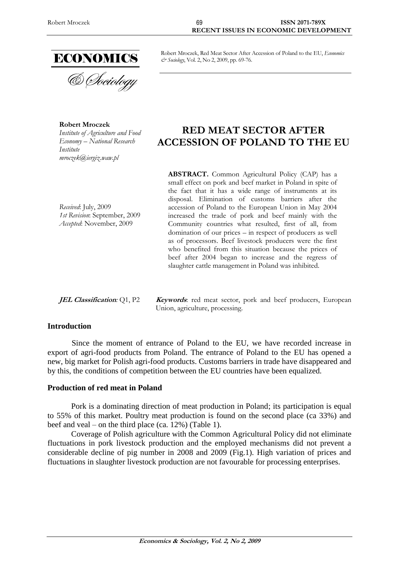

**Robert Mroczek** *Institute of Agriculture and Food Economy – National Research Institute [mroczek@iergiz.waw.pl](mailto:mroczek@iergiz.waw.pl)*

#### Robert Mroczek, Red Meat Sector After Accession of Poland to the EU, *Economics & Sociology*, Vol. 2, No 2, 2009, pp. 69-76.

# **RED MEAT SECTOR AFTER ACCESSION OF POLAND TO THE EU**

*Received*: July, 2009 *1st Revision*: September, 2009 *Accepted*: November, 2009

**ABSTRACT.** Common Agricultural Policy (CAP) has a small effect on pork and beef market in Poland in spite of the fact that it has a wide range of instruments at its disposal. Elimination of customs barriers after the accession of Poland to the European Union in May 2004 increased the trade of pork and beef mainly with the Community countries what resulted, first of all, from domination of our prices – in respect of producers as well as of processors. Beef livestock producers were the first who benefited from this situation because the prices of beef after 2004 began to increase and the regress of slaughter cattle management in Poland was inhibited.

**JEL Classification**: Q1, P2 **Keywords**: red meat sector, pork and beef producers, European Union, agriculture, processing.

#### **Introduction**

Since the moment of entrance of Poland to the EU, we have recorded increase in export of agri-food products from Poland. The entrance of Poland to the EU has opened a new, big market for Polish agri-food products. Customs barriers in trade have disappeared and by this, the conditions of competition between the EU countries have been equalized.

## **Production of red meat in Poland**

Pork is a dominating direction of meat production in Poland; its participation is equal to 55% of this market. Poultry meat production is found on the second place (ca 33%) and beef and veal – on the third place (ca. 12%) (Table 1).

Coverage of Polish agriculture with the Common Agricultural Policy did not eliminate fluctuations in pork livestock production and the employed mechanisms did not prevent a considerable decline of pig number in 2008 and 2009 (Fig.1). High variation of prices and fluctuations in slaughter livestock production are not favourable for processing enterprises.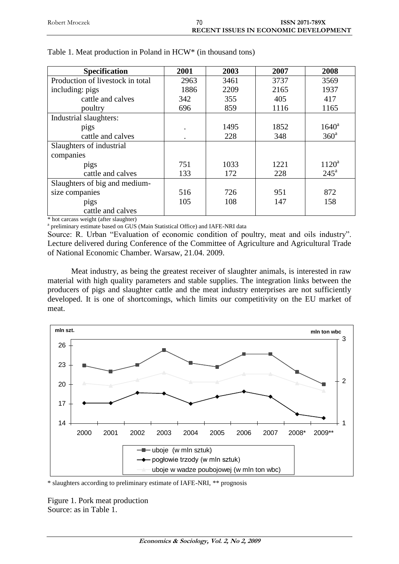| Robert Mroczek | <b>ISSN 2071-789X</b>                        |
|----------------|----------------------------------------------|
|                | <b>RECENT ISSUES IN ECONOMIC DEVELOPMENT</b> |

| <b>Specification</b>             | 2001 | 2003 | 2007 | 2008             |
|----------------------------------|------|------|------|------------------|
| Production of livestock in total | 2963 | 3461 | 3737 | 3569             |
| including: pigs                  | 1886 | 2209 | 2165 | 1937             |
| cattle and calves                | 342  | 355  | 405  | 417              |
| poultry                          | 696  | 859  | 1116 | 1165             |
| Industrial slaughters:           |      |      |      |                  |
| pigs                             |      | 1495 | 1852 | $1640^{\rm a}$   |
| cattle and calves                |      | 228  | 348  | 360 <sup>a</sup> |
| Slaughters of industrial         |      |      |      |                  |
| companies                        |      |      |      |                  |
| pigs                             | 751  | 1033 | 1221 | $1120^a$         |
| cattle and calves                | 133  | 172  | 228  | $245^{\circ}$    |
| Slaughters of big and medium-    |      |      |      |                  |
| size companies                   | 516  | 726  | 951  | 872              |
| pigs                             | 105  | 108  | 147  | 158              |
| cattle and calves                |      |      |      |                  |

#### Table 1. Meat production in Poland in HCW\* (in thousand tons)

\* hot carcass weight (after slaughter)

<sup>a</sup> preliminary estimate based on GUS (Main Statistical Office) and IAFE-NRI data

Source: R. Urban "Evaluation of economic condition of poultry, meat and oils industry". Lecture delivered during Conference of the Committee of Agriculture and Agricultural Trade of National Economic Chamber. Warsaw, 21.04. 2009.

Meat industry, as being the greatest receiver of slaughter animals, is interested in raw material with high quality parameters and stable supplies. The integration links between the producers of pigs and slaughter cattle and the meat industry enterprises are not sufficiently developed. It is one of shortcomings, which limits our competitivity on the EU market of meat.



\* slaughters according to preliminary estimate of IAFE-NRI, \*\* prognosis

Figure 1. Pork meat production Source: as in Table 1.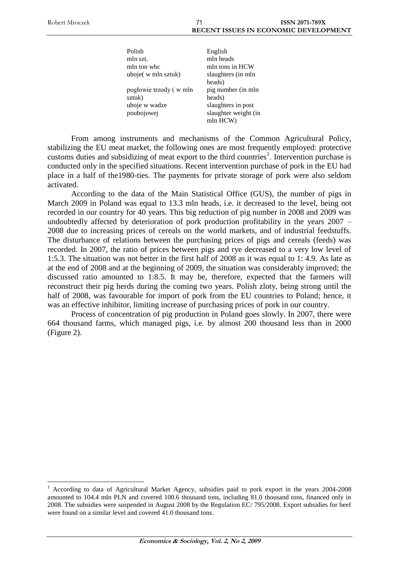$\overline{a}$ 

 $(in$ 

| Polish                 | English              |
|------------------------|----------------------|
| mln szt.               | mln heads            |
| mln ton whe            | mln tons in HCW      |
| uboje(w mln sztuk)     | slaughters (in mln   |
|                        | heads)               |
| pogłowie trzody (w mln | pig number (in mln   |
| sztuk)                 | heads)               |
| uboje w wadze          | slaughters in post   |
| poubojowej             | slaughter weight (in |
|                        | mln HCW)             |

From among instruments and mechanisms of the Common Agricultural Policy, stabilizing the EU meat market, the following ones are most frequently employed: protective customs duties and subsidizing of meat export to the third countries<sup>1</sup>. Intervention purchase is conducted only in the specified situations. Recent intervention purchase of pork in the EU had place in a half of the1980-ties. The payments for private storage of pork were also seldom activated.

According to the data of the Main Statistical Office (GUS), the number of pigs in March 2009 in Poland was equal to 13.3 mln heads, i.e. it decreased to the level, being not recorded in our country for 40 years. This big reduction of pig number in 2008 and 2009 was undoubtedly affected by deterioration of pork production profitability in the years 2007 – 2008 due to increasing prices of cereals on the world markets, and of industrial feedstuffs. The disturbance of relations between the purchasing prices of pigs and cereals (feeds) was recorded. In 2007, the ratio of prices between pigs and rye decreased to a very low level of 1:5.3. The situation was not better in the first half of 2008 as it was equal to 1: 4.9. As late as at the end of 2008 and at the beginning of 2009, the situation was considerably improved; the discussed ratio amounted to 1:8.5. It may be, therefore, expected that the farmers will reconstruct their pig herds during the coming two years. Polish zloty, being strong until the half of 2008, was favourable for import of pork from the EU countries to Poland; hence, it was an effective inhibitor, limiting increase of purchasing prices of pork in our country.

Process of concentration of pig production in Poland goes slowly. In 2007, there were 664 thousand farms, which managed pigs, i.e. by almost 200 thousand less than in 2000 (Figure 2).

<sup>1</sup> According to data of Agricultural Market Agency, subsidies paid to pork export in the years 2004-2008 amounted to 104.4 mln PLN and covered 100.6 thousand tons, including 81.0 thousand tons, financed only in 2008. The subsidies were suspended in August 2008 by the Regulation EC/ 795/2008. Export subsidies for beef were found on a similar level and covered 41.0 thousand tons.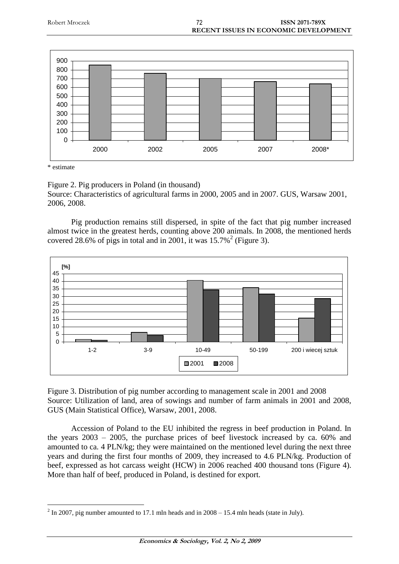

\* estimate

Figure 2. Pig producers in Poland (in thousand) Source: Characteristics of agricultural farms in 2000, 2005 and in 2007. GUS, Warsaw 2001, 2006, 2008.

2000 2002 2005 2007 2008\*

Pig production remains still dispersed, in spite of the fact that pig number increased almost twice in the greatest herds, counting above 200 animals. In 2008, the mentioned herds covered 28.6% of pigs in total and in 2001, it was  $15.7\%$ <sup>2</sup> (Figure 3).



Figure 3. Distribution of pig number according to management scale in 2001 and 2008 Source: Utilization of land, area of sowings and number of farm animals in 2001 and 2008, GUS (Main Statistical Office), Warsaw, 2001, 2008.

Accession of Poland to the EU inhibited the regress in beef production in Poland. In the years 2003 – 2005, the purchase prices of beef livestock increased by ca. 60% and amounted to ca. 4 PLN/kg; they were maintained on the mentioned level during the next three years and during the first four months of 2009, they increased to 4.6 PLN/kg. Production of beef, expressed as hot carcass weight (HCW) in 2006 reached 400 thousand tons (Figure 4). More than half of beef, produced in Poland, is destined for export.

 $\overline{a}$  $2 \text{ In } 2007$ , pig number amounted to 17.1 mln heads and in  $2008 - 15.4$  mln heads (state in July).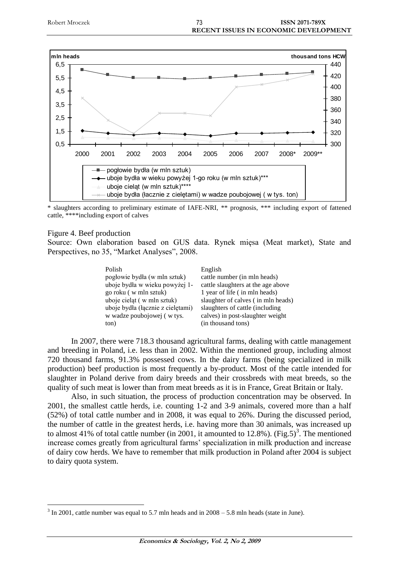

\* slaughters according to preliminary estimate of IAFE-NRI, \*\* prognosis, \*\*\* including export of fattened cattle, \*\*\*\*including export of calves

#### Figure 4. Beef production

 $\overline{a}$ 

Source: Own elaboration based on GUS data. Rynek mięsa (Meat market), State and Perspectives, no 35, "Market Analyses", 2008.

| English                            |
|------------------------------------|
| cattle number (in mln heads)       |
| cattle slaughters at the age above |
| 1 year of life (in mln heads)      |
| slaughter of calves (in mln heads) |
| slaughters of cattle (including    |
| calves) in post-slaughter weight   |
| (in thousand tons)                 |
|                                    |

In 2007, there were 718.3 thousand agricultural farms, dealing with cattle management and breeding in Poland, i.e. less than in 2002. Within the mentioned group, including almost 720 thousand farms, 91.3% possessed cows. In the dairy farms (being specialized in milk production) beef production is most frequently a by-product. Most of the cattle intended for slaughter in Poland derive from dairy breeds and their crossbreds with meat breeds, so the quality of such meat is lower than from meat breeds as it is in France, Great Britain or Italy.

Also, in such situation, the process of production concentration may be observed. In 2001, the smallest cattle herds, i.e. counting 1-2 and 3-9 animals, covered more than a half (52%) of total cattle number and in 2008, it was equal to 26%. During the discussed period, the number of cattle in the greatest herds, i.e. having more than 30 animals, was increased up to almost 41% of total cattle number (in 2001, it amounted to 12.8%). (Fig.5)<sup>3</sup>. The mentioned increase comes greatly from agricultural farms' specialization in milk production and increase of dairy cow herds. We have to remember that milk production in Poland after 2004 is subject to dairy quota system.

 $3 \text{ In } 2001$ , cattle number was equal to 5.7 mln heads and in  $2008 - 5.8$  mln heads (state in June).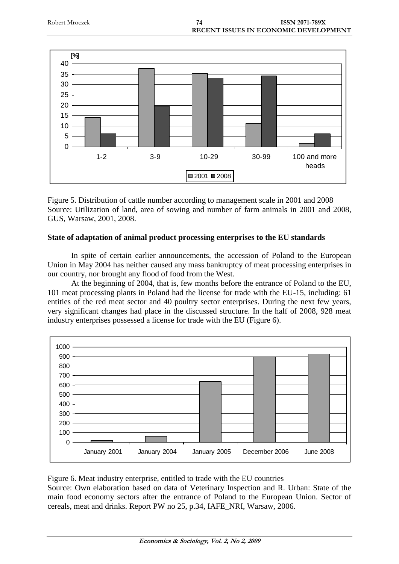

Figure 5. Distribution of cattle number according to management scale in 2001 and 2008 Source: Utilization of land, area of sowing and number of farm animals in 2001 and 2008, GUS, Warsaw, 2001, 2008.

# **State of adaptation of animal product processing enterprises to the EU standards**

In spite of certain earlier announcements, the accession of Poland to the European Union in May 2004 has neither caused any mass bankruptcy of meat processing enterprises in our country, nor brought any flood of food from the West.

At the beginning of 2004, that is, few months before the entrance of Poland to the EU, 101 meat processing plants in Poland had the license for trade with the EU-15, including: 61 entities of the red meat sector and 40 poultry sector enterprises. During the next few years, very significant changes had place in the discussed structure. In the half of 2008, 928 meat industry enterprises possessed a license for trade with the EU (Figure 6).



Figure 6. Meat industry enterprise, entitled to trade with the EU countries

Source: Own elaboration based on data of Veterinary Inspection and R. Urban: State of the main food economy sectors after the entrance of Poland to the European Union. Sector of cereals, meat and drinks. Report PW no 25, p.34, IAFE\_NRI, Warsaw, 2006.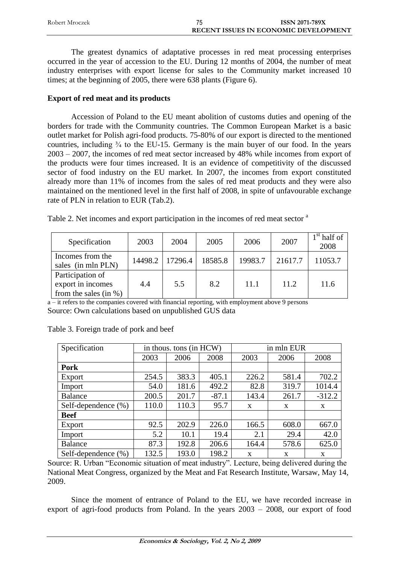| Robert Mroczek | <b>ISSN 2071-789X</b>                 |
|----------------|---------------------------------------|
|                | RECENT ISSUES IN ECONOMIC DEVELOPMENT |

The greatest dynamics of adaptative processes in red meat processing enterprises occurred in the year of accession to the EU. During 12 months of 2004, the number of meat industry enterprises with export license for sales to the Community market increased 10 times; at the beginning of 2005, there were 638 plants (Figure 6).

### **Export of red meat and its products**

Accession of Poland to the EU meant abolition of customs duties and opening of the borders for trade with the Community countries. The Common European Market is a basic outlet market for Polish agri-food products. 75-80% of our export is directed to the mentioned countries, including  $\frac{3}{4}$  to the EU-15. Germany is the main buyer of our food. In the years 2003 – 2007, the incomes of red meat sector increased by 48% while incomes from export of the products were four times increased. It is an evidence of competitivity of the discussed sector of food industry on the EU market. In 2007, the incomes from export constituted already more than 11% of incomes from the sales of red meat products and they were also maintained on the mentioned level in the first half of 2008, in spite of unfavourable exchange rate of PLN in relation to EUR (Tab.2).

| Table 2. Net incomes and export participation in the incomes of red meat sector <sup>a</sup> |  |  |
|----------------------------------------------------------------------------------------------|--|--|
|                                                                                              |  |  |

| Specification                                                      | 2003    | 2004    | 2005    | 2006    | 2007    | $1st$ half of<br>2008 |
|--------------------------------------------------------------------|---------|---------|---------|---------|---------|-----------------------|
| Incomes from the<br>sales (in mln PLN)                             | 14498.2 | 17296.4 | 18585.8 | 19983.7 | 21617.7 | 11053.7               |
| Participation of<br>export in incomes<br>from the sales (in $\%$ ) | 4.4     | 5.5     | 8.2     | 11.1    | 11.2    | 11.6                  |

a – it refers to the companies covered with financial reporting, with employment above 9 persons Source: Own calculations based on unpublished GUS data

| Specification       | in thous. tons (in HCW) |       |         | in mln EUR   |       |              |
|---------------------|-------------------------|-------|---------|--------------|-------|--------------|
|                     | 2003                    | 2006  | 2008    | 2003         | 2006  | 2008         |
| <b>Pork</b>         |                         |       |         |              |       |              |
| Export              | 254.5                   | 383.3 | 405.1   | 226.2        | 581.4 | 702.2        |
| Import              | 54.0                    | 181.6 | 492.2   | 82.8         | 319.7 | 1014.4       |
| <b>Balance</b>      | 200.5                   | 201.7 | $-87.1$ | 143.4        | 261.7 | $-312.2$     |
| Self-dependence (%) | 110.0                   | 110.3 | 95.7    | $\mathbf{x}$ | X     | $\mathbf{X}$ |
| <b>Beef</b>         |                         |       |         |              |       |              |
| Export              | 92.5                    | 202.9 | 226.0   | 166.5        | 608.0 | 667.0        |
| Import              | 5.2                     | 10.1  | 19.4    | 2.1          | 29.4  | 42.0         |
| Balance             | 87.3                    | 192.8 | 206.6   | 164.4        | 578.6 | 625.0        |
| Self-dependence (%) | 132.5                   | 193.0 | 198.2   | X            | X     | X            |

Table 3. Foreign trade of pork and beef

Source: R. Urban "Economic situation of meat industry". Lecture, being delivered during the National Meat Congress, organized by the Meat and Fat Research Institute, Warsaw, May 14, 2009.

Since the moment of entrance of Poland to the EU, we have recorded increase in export of agri-food products from Poland. In the years 2003 – 2008, our export of food